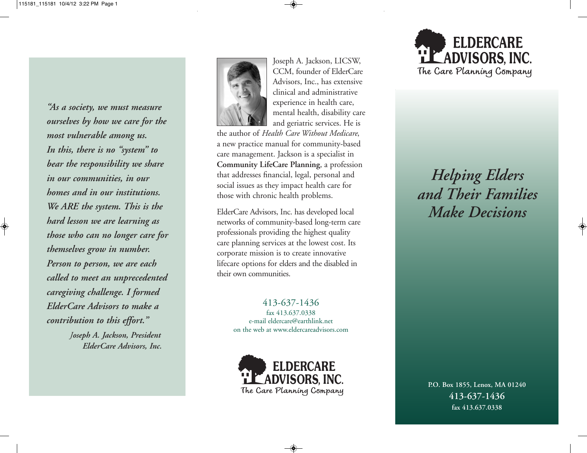*"As a society, we must measure ourselves by how we care for the most vulnerable among us. In this, there is no "system" to bear the responsibility we share in our communities, in our homes and in our institutions. We ARE the system. This is the hard lesson we are learning as those who can no longer care for themselves grow in number. Person to person, we are each called to meet an unprecedented caregiving challenge. I formed ElderCare Advisors to make a contribution to this effort." Joseph A. Jackson, President ElderCare Advisors, Inc.*



Joseph A. Jackson, LICSW, CCM, founder of ElderCare Advisors, Inc., has extensive clinical and administrative experience in health care, mental health, disability care and geriatric services. He is

the author of *Health Care Without Medicare*, a new practice manual for community-based care management. Jackson is a specialist in **Community LifeCare Planning**, a profession that addresses financial, legal, personal and social issues as they impact health care for those with chronic health problems.

ElderCare Advisors, Inc. has developed local networks of community-based long-term care professionals providing the highest quality care planning services at the lowest cost. Its corporate mission is to create innovative lifecare options for elders and the disabled in their own communities.

> 413-637-1436 fax 413.637.0338 e-mail eldercare@earthlink.net on the web at www.eldercareadvisors.com





*Helping Elders and Their Families Make Decisions*

**P.O. Box 1855, Lenox, MA 01240 413-637-1436 fax 413.637.0338**